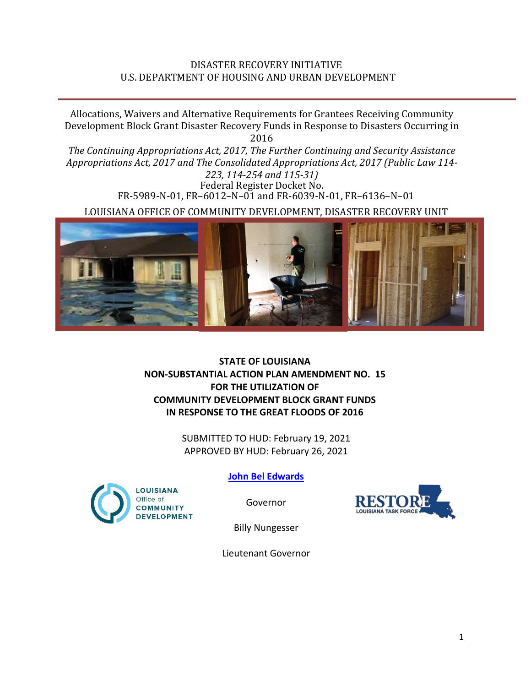## DISASTER RECOVERY INITIATIVE U.S. DEPARTMENT OF HOUSING AND URBAN DEVELOPMENT

Allocations, Waivers and Alternative Requirements for Grantees Receiving Community Development Block Grant Disaster Recovery Funds in Response to Disasters Occurring in 2016

*The Continuing Appropriations Act, 2017, The Further Continuing and Security Assistance Appropriations Act, 2017 and The Consolidated Appropriations Act, 2017 (Public Law 114- 223, 114-254 and 115-31)*

Federal Register Docket No. FR-5989-N-01, FR–6012–N–01 and FR-6039-N-01, FR–6136–N–01

LOUISIANA OFFICE OF COMMUNITY DEVELOPMENT, DISASTER RECOVERY UNIT



## **STATE OF LOUISIANA NON-SUBSTANTIAL ACTION PLAN AMENDMENT NO. 15 FOR THE UTILIZATION OF COMMUNITY DEVELOPMENT BLOCK GRANT FUNDS IN RESPONSE TO THE GREAT FLOODS OF 2016**

SUBMITTED TO HUD: February 19, 2021 APPROVED BY HUD: February 26, 2021



**[John Bel Edwards](https://www.facebook.com/LouisianaGov/)**

Governor



Billy Nungesser

Lieutenant Governor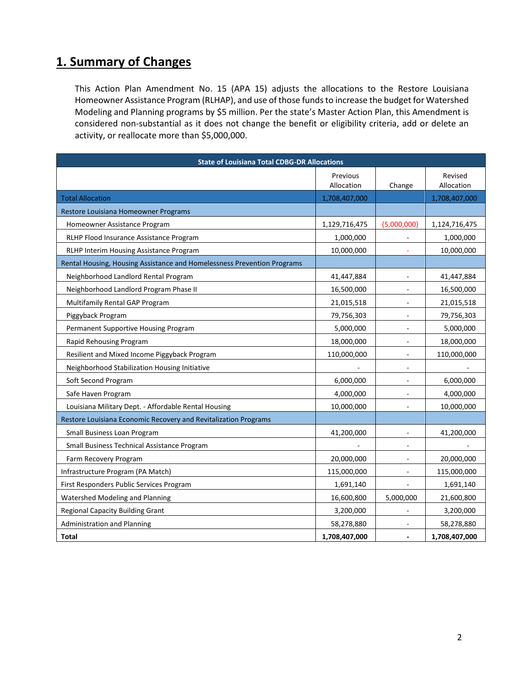## **1. Summary of Changes**

This Action Plan Amendment No. 15 (APA 15) adjusts the allocations to the Restore Louisiana Homeowner Assistance Program (RLHAP), and use of those funds to increase the budget for Watershed Modeling and Planning programs by \$5 million. Per the state's Master Action Plan, this Amendment is considered non-substantial as it does not change the benefit or eligibility criteria, add or delete an activity, or reallocate more than \$5,000,000.

| <b>State of Louisiana Total CDBG-DR Allocations</b>                     |                        |                          |                       |
|-------------------------------------------------------------------------|------------------------|--------------------------|-----------------------|
|                                                                         | Previous<br>Allocation | Change                   | Revised<br>Allocation |
| <b>Total Allocation</b>                                                 | 1,708,407,000          |                          | 1,708,407,000         |
| Restore Louisiana Homeowner Programs                                    |                        |                          |                       |
| Homeowner Assistance Program                                            | 1,129,716,475          | (5,000,000)              | 1,124,716,475         |
| RLHP Flood Insurance Assistance Program                                 | 1,000,000              |                          | 1,000,000             |
| RLHP Interim Housing Assistance Program                                 | 10,000,000             |                          | 10,000,000            |
| Rental Housing, Housing Assistance and Homelessness Prevention Programs |                        |                          |                       |
| Neighborhood Landlord Rental Program                                    | 41,447,884             | $\frac{1}{2}$            | 41,447,884            |
| Neighborhood Landlord Program Phase II                                  | 16,500,000             | $\overline{a}$           | 16,500,000            |
| Multifamily Rental GAP Program                                          | 21,015,518             | $\overline{\phantom{a}}$ | 21,015,518            |
| Piggyback Program                                                       | 79,756,303             | $\sim$                   | 79,756,303            |
| Permanent Supportive Housing Program                                    | 5,000,000              | $\overline{\phantom{a}}$ | 5,000,000             |
| Rapid Rehousing Program                                                 | 18,000,000             | $\frac{1}{2}$            | 18,000,000            |
| Resilient and Mixed Income Piggyback Program                            | 110,000,000            | $\overline{\phantom{a}}$ | 110,000,000           |
| Neighborhood Stabilization Housing Initiative                           |                        | $\overline{\phantom{a}}$ |                       |
| Soft Second Program                                                     | 6,000,000              | $\overline{\phantom{a}}$ | 6,000,000             |
| Safe Haven Program                                                      | 4,000,000              | ÷,                       | 4,000,000             |
| Louisiana Military Dept. - Affordable Rental Housing                    | 10,000,000             | ä,                       | 10,000,000            |
| Restore Louisiana Economic Recovery and Revitalization Programs         |                        |                          |                       |
| Small Business Loan Program                                             | 41,200,000             |                          | 41,200,000            |
| Small Business Technical Assistance Program                             |                        |                          |                       |
| Farm Recovery Program                                                   | 20,000,000             |                          | 20,000,000            |
| Infrastructure Program (PA Match)                                       | 115,000,000            |                          | 115,000,000           |
| First Responders Public Services Program                                | 1,691,140              |                          | 1,691,140             |
| Watershed Modeling and Planning                                         | 16,600,800             | 5,000,000                | 21,600,800            |
| <b>Regional Capacity Building Grant</b>                                 | 3,200,000              |                          | 3,200,000             |
| <b>Administration and Planning</b>                                      | 58,278,880             |                          | 58,278,880            |
| Total                                                                   | 1,708,407,000          | $\overline{\phantom{a}}$ | 1,708,407,000         |